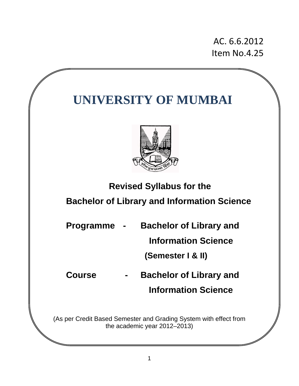AC. 6.6.2012 Item No.4.25

# **UNIVERSITY OF MUMBAI**



 **Revised Syllabus for the** 

# **Bachelor of Library and Information Science**

| Programme - | <b>Bachelor of Library and</b> |
|-------------|--------------------------------|
|             | <b>Information Science</b>     |
|             | (Semester   & II)              |

**Course - Bachelor of Library and Information Science** 

(As per Credit Based Semester and Grading System with effect from the academic year 2012–2013)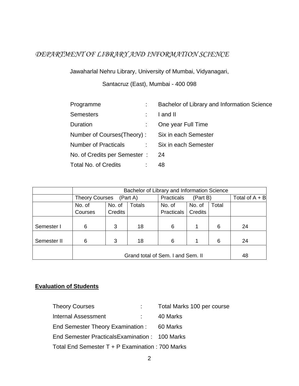# *DEPARTMENT OF LIBRARY AND INFORMATION SCIENCE*

Jawaharlal Nehru Library, University of Mumbai, Vidyanagari,

Santacruz (East), Mumbai - 400 098

| Programme                                       | Bachelor of Library and Information Science |
|-------------------------------------------------|---------------------------------------------|
| <b>Semesters</b>                                | I and II                                    |
| Duration                                        | One year Full Time                          |
| Number of Courses(Theory): Six in each Semester |                                             |
| Number of Practicals Six in each Semester       |                                             |
| No. of Credits per Semester: 24                 |                                             |
| <b>Total No. of Credits</b>                     | 48                                          |

|             | Bachelor of Library and Information Science |         |                                   |                        |                |       |                  |
|-------------|---------------------------------------------|---------|-----------------------------------|------------------------|----------------|-------|------------------|
|             | <b>Theory Courses</b><br>(Part A)           |         |                                   | Practicals<br>(Part B) |                |       | Total of $A + B$ |
|             | <b>Totals</b><br>No. of<br>No. of           |         |                                   | No. of                 | No. of         | Total |                  |
|             | Courses                                     | Credits |                                   | Practicals             | <b>Credits</b> |       |                  |
|             |                                             |         |                                   |                        |                |       |                  |
| Semester I  | 6                                           | 3       | 18                                | 6                      | 1              | 6     | 24               |
|             |                                             |         |                                   |                        |                |       |                  |
| Semester II | 6                                           | 3       | 18                                | 6                      | 1              | 6     | 24               |
|             |                                             |         |                                   |                        |                |       |                  |
|             |                                             |         | Grand total of Sem. I and Sem. II |                        |                |       | 48               |

#### **Evaluation of Students**

| <b>Theory Courses</b>                            |       | Total Marks 100 per course |
|--------------------------------------------------|-------|----------------------------|
| Internal Assessment                              | diam. | 40 Marks                   |
| End Semester Theory Examination : 60 Marks       |       |                            |
| End Semester Practicals Examination : 100 Marks  |       |                            |
| Total End Semester T + P Examination : 700 Marks |       |                            |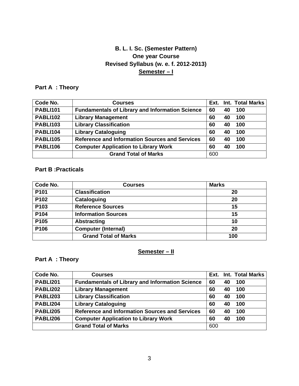# **B. L. I. Sc. (Semester Pattern) One year Course Revised Syllabus (w. e. f. 2012-2013) Semester – I**

# **Part A : Theory**

| Code No.        | <b>Courses</b>                                         |     |    | Ext. Int. Total Marks |
|-----------------|--------------------------------------------------------|-----|----|-----------------------|
| <b>PABLI101</b> | <b>Fundamentals of Library and Information Science</b> | 60  | 40 | 100                   |
| <b>PABLI102</b> | <b>Library Management</b>                              | 60  | 40 | 100                   |
| <b>PABLI103</b> | <b>Library Classification</b>                          | 60  | 40 | 100                   |
| PABLI104        | <b>Library Cataloguing</b>                             | 60  | 40 | 100                   |
| <b>PABLI105</b> | <b>Reference and Information Sources and Services</b>  | 60  | 40 | 100                   |
| <b>PABLI106</b> | <b>Computer Application to Library Work</b>            | 60  | 40 | 100                   |
|                 | <b>Grand Total of Marks</b>                            | 600 |    |                       |

## **Part B :Practicals**

| Code No. | <b>Courses</b>              | <b>Marks</b> |
|----------|-----------------------------|--------------|
| P101     | <b>Classification</b>       | 20           |
| P102     | Cataloguing                 | 20           |
| P103     | <b>Reference Sources</b>    | 15           |
| P104     | <b>Information Sources</b>  | 15           |
| P105     | <b>Abstracting</b>          | 10           |
| P106     | <b>Computer (Internal)</b>  | 20           |
|          | <b>Grand Total of Marks</b> | 100          |

## **Semester – II**

### **Part A : Theory**

| Code No.        | <b>Courses</b>                                         |     |    | <b>Ext. Int. Total Marks</b> |  |
|-----------------|--------------------------------------------------------|-----|----|------------------------------|--|
| PABLI201        | <b>Fundamentals of Library and Information Science</b> | 60  | 40 | 100                          |  |
| <b>PABLI202</b> | <b>Library Management</b>                              | 60  | 40 | 100                          |  |
| <b>PABLI203</b> | <b>Library Classification</b>                          | 60  | 40 | 100                          |  |
| PABLI204        | <b>Library Cataloguing</b>                             | 60  | 40 | 100                          |  |
| <b>PABLI205</b> | <b>Reference and Information Sources and Services</b>  | 60  | 40 | 100                          |  |
| PABLI206        | <b>Computer Application to Library Work</b>            | 60  | 40 | 100                          |  |
|                 | <b>Grand Total of Marks</b>                            | 600 |    |                              |  |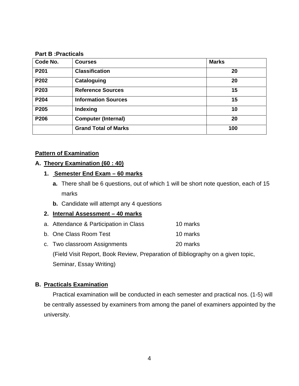#### **Part B :Practicals**

| Code No. | <b>Courses</b>              | <b>Marks</b> |
|----------|-----------------------------|--------------|
| P201     | <b>Classification</b>       | 20           |
| P202     | Cataloguing                 | 20           |
| P203     | <b>Reference Sources</b>    | 15           |
| P204     | <b>Information Sources</b>  | 15           |
| P205     | Indexing                    | 10           |
| P206     | <b>Computer (Internal)</b>  | 20           |
|          | <b>Grand Total of Marks</b> | 100          |

#### **Pattern of Examination**

#### **A. Theory Examination (60 : 40)**

#### **1. Semester End Exam – 60 marks**

- **a.** There shall be 6 questions, out of which 1 will be short note question, each of 15 marks
- **b.** Candidate will attempt any 4 questions

#### **2. Internal Assessment – 40 marks**

- a. Attendance & Participation in Class 10 marks
- b. One Class Room Test 10 marks
- c. Two classroom Assignments 20 marks

(Field Visit Report, Book Review, Preparation of Bibliography on a given topic,

Seminar, Essay Writing)

#### **B. Practicals Examination**

Practical examination will be conducted in each semester and practical nos. (1-5) will be centrally assessed by examiners from among the panel of examiners appointed by the university.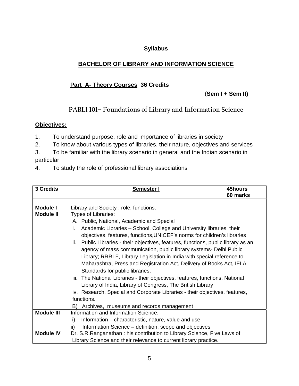### **Syllabus**

# **BACHELOR OF LIBRARY AND INFORMATION SCIENCE**

# **Part A- Theory Courses 36 Credits**

(**Sem I + Sem II)** 

# **PABLI 101– Foundations of Library and Information Science**

- 1. To understand purpose, role and importance of libraries in society
- 2. To know about various types of libraries, their nature, objectives and services
- 3. To be familiar with the library scenario in general and the Indian scenario in particular
- 4. To study the role of professional library associations

|                   |                                                                                       | 45hours  |  |  |  |
|-------------------|---------------------------------------------------------------------------------------|----------|--|--|--|
| 3 Credits         | Semester I                                                                            |          |  |  |  |
|                   |                                                                                       | 60 marks |  |  |  |
|                   |                                                                                       |          |  |  |  |
| <b>Module I</b>   | Library and Society: role, functions.                                                 |          |  |  |  |
| <b>Module II</b>  | <b>Types of Libraries:</b>                                                            |          |  |  |  |
|                   | A. Public, National, Academic and Special                                             |          |  |  |  |
|                   | Academic Libraries - School, College and University libraries, their<br>İ.            |          |  |  |  |
|                   | objectives, features, functions, UNICEF's norms for children's libraries              |          |  |  |  |
|                   | Public Libraries - their objectives, features, functions, public library as an<br>ii. |          |  |  |  |
|                   | agency of mass communication, public library systems- Delhi Public                    |          |  |  |  |
|                   | Library; RRRLF, Library Legislation in India with special reference to                |          |  |  |  |
|                   | Maharashtra, Press and Registration Act, Delivery of Books Act, IFLA                  |          |  |  |  |
|                   | Standards for public libraries.                                                       |          |  |  |  |
|                   | iii. The National Libraries - their objectives, features, functions, National         |          |  |  |  |
|                   | Library of India, Library of Congress, The British Library                            |          |  |  |  |
|                   | iv. Research, Special and Corporate Libraries - their objectives, features,           |          |  |  |  |
|                   | functions.                                                                            |          |  |  |  |
|                   | Archives, museums and records management<br>B)                                        |          |  |  |  |
| <b>Module III</b> | Information and Information Science:                                                  |          |  |  |  |
|                   | Information – characteristic, nature, value and use<br>i)                             |          |  |  |  |
|                   | Information Science – definition, scope and objectives<br>ii)                         |          |  |  |  |
| <b>Module IV</b>  | Dr. S.R.Ranganathan : his contribution to Library Science, Five Laws of               |          |  |  |  |
|                   | Library Science and their relevance to current library practice.                      |          |  |  |  |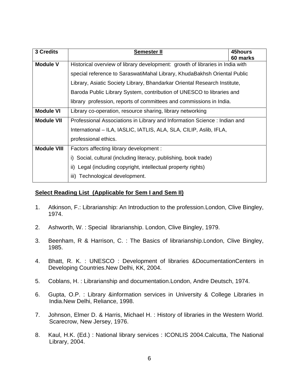| 3 Credits          | Semester II                                                                   | 45hours<br>60 marks |  |  |
|--------------------|-------------------------------------------------------------------------------|---------------------|--|--|
| <b>Module V</b>    | Historical overview of library development: growth of libraries in India with |                     |  |  |
|                    | special reference to SaraswatiMahal Library, KhudaBakhsh Oriental Public      |                     |  |  |
|                    | Library, Asiatic Society Library, Bhandarkar Oriental Research Institute,     |                     |  |  |
|                    | Baroda Public Library System, contribution of UNESCO to libraries and         |                     |  |  |
|                    | library profession, reports of committees and commissions in India.           |                     |  |  |
| <b>Module VI</b>   | Library co-operation, resource sharing, library networking                    |                     |  |  |
| <b>Module VII</b>  | Professional Associations in Library and Information Science : Indian and     |                     |  |  |
|                    | International - ILA, IASLIC, IATLIS, ALA, SLA, CILIP, Aslib, IFLA,            |                     |  |  |
|                    | professional ethics.                                                          |                     |  |  |
| <b>Module VIII</b> | Factors affecting library development :                                       |                     |  |  |
|                    | i) Social, cultural (including literacy, publishing, book trade)              |                     |  |  |
|                    | ii) Legal (including copyright, intellectual property rights)                 |                     |  |  |
|                    | Technological development.<br>iii)                                            |                     |  |  |

- 1. Atkinson, F.: Librarianship: An Introduction to the profession.London, Clive Bingley, 1974.
- 2. Ashworth, W. : Special librarianship. London, Clive Bingley, 1979.
- 3. Beenham, R & Harrison, C. : The Basics of librarianship.London, Clive Bingley, 1985.
- 4. Bhatt, R. K. : UNESCO : Development of libraries &DocumentationCenters in Developing Countries.New Delhi, KK, 2004.
- 5. Coblans, H. : Librarianship and documentation.London, Andre Deutsch, 1974.
- 6. Gupta, O.P. : Library &information services in University & College Libraries in India.New Delhi, Reliance, 1998.
- 7. Johnson, Elmer D. & Harris, Michael H. : History of libraries in the Western World. Scarecrow, New Jersey, 1976.
- 8. Kaul, H.K. (Ed.) : National library services : ICONLIS 2004.Calcutta, The National Library, 2004.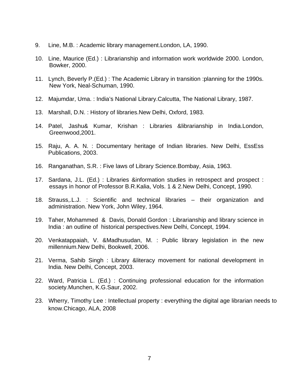- 9. Line, M.B. : Academic library management.London, LA, 1990.
- 10. Line, Maurice (Ed.) : Librarianship and information work worldwide 2000. London, Bowker, 2000.
- 11. Lynch, Beverly P.(Ed.) : The Academic Library in transition :planning for the 1990s. New York, Neal-Schuman, 1990.
- 12. Majumdar, Uma. : India's National Library.Calcutta, The National Library, 1987.
- 13. Marshall, D.N. : History of libraries.New Delhi, Oxford, 1983.
- 14. Patel, Jashu& Kumar, Krishan : Libraries &librarianship in India.London, Greenwood,2001.
- 15. Raju, A. A. N. : Documentary heritage of Indian libraries. New Delhi, EssEss Publications, 2003.
- 16. Ranganathan, S.R. : Five laws of Library Science.Bombay, Asia, 1963.
- 17. Sardana, J.L. (Ed.) : Libraries &information studies in retrospect and prospect : essays in honor of Professor B.R.Kalia, Vols. 1 & 2.New Delhi, Concept, 1990.
- 18. Strauss,.L.J. : Scientific and technical libraries their organization and administration. New York, John Wiley, 1964.
- 19. Taher, Mohammed & Davis, Donald Gordon : Librarianship and library science in India : an outline of historical perspectives.New Delhi, Concept, 1994.
- 20. Venkatappaiah, V. &Madhusudan, M. : Public library legislation in the new millennium.New Delhi, Bookwell, 2006.
- 21. Verma, Sahib Singh : Library &literacy movement for national development in India. New Delhi, Concept, 2003.
- 22. Ward, Patricia L. (Ed.) : Continuing professional education for the information society.Munchen, K.G.Saur, 2002.
- 23. Wherry, Timothy Lee : Intellectual property : everything the digital age librarian needs to know.Chicago, ALA, 2008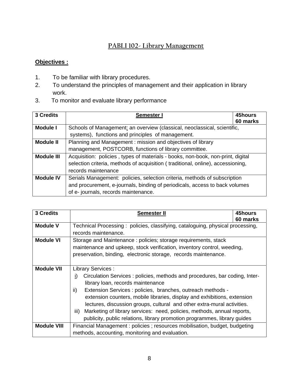# **PABLI 102- Library Management**

- 1. To be familiar with library procedures.
- 2. To understand the principles of management and their application in library work.
- 3. To monitor and evaluate library performance

| 3 Credits         | <b>Semester I</b>                                                               | 45hours<br>60 marks |  |  |
|-------------------|---------------------------------------------------------------------------------|---------------------|--|--|
| <b>Module I</b>   | Schools of Management: an overview (classical, neoclassical, scientific,        |                     |  |  |
|                   | systems), functions and principles of management.                               |                     |  |  |
| <b>Module II</b>  | Planning and Management: mission and objectives of library                      |                     |  |  |
|                   | management, POSTCORB, functions of library committee.                           |                     |  |  |
| <b>Module III</b> | Acquisition: policies, types of materials - books, non-book, non-print, digital |                     |  |  |
|                   | selection criteria, methods of acquisition (traditional, online), accessioning, |                     |  |  |
|                   | records maintenance                                                             |                     |  |  |
| <b>Module IV</b>  | Serials Management: policies, selection criteria, methods of subscription       |                     |  |  |
|                   | and procurement, e-journals, binding of periodicals, access to back volumes     |                     |  |  |
|                   | of e- journals, records maintenance.                                            |                     |  |  |

| 3 Credits          | <b>Semester II</b>                                                                                                                                                                                                                                                                                                                                                                                                                                                                                                                                        | 45hours<br>60 marks |  |  |
|--------------------|-----------------------------------------------------------------------------------------------------------------------------------------------------------------------------------------------------------------------------------------------------------------------------------------------------------------------------------------------------------------------------------------------------------------------------------------------------------------------------------------------------------------------------------------------------------|---------------------|--|--|
| <b>Module V</b>    | Technical Processing: policies, classifying, cataloguing, physical processing,<br>records maintenance.                                                                                                                                                                                                                                                                                                                                                                                                                                                    |                     |  |  |
| <b>Module VI</b>   | Storage and Maintenance: policies; storage requirements, stack<br>maintenance and upkeep, stock verification, inventory control, weeding,<br>preservation, binding, electronic storage, records maintenance.                                                                                                                                                                                                                                                                                                                                              |                     |  |  |
| <b>Module VII</b>  | <b>Library Services:</b><br>Circulation Services : policies, methods and procedures, bar coding, Inter-<br>i)<br>library loan, records maintenance<br>$\mathsf{ii}$<br>Extension Services : policies, branches, outreach methods -<br>extension counters, mobile libraries, display and exhibitions, extension<br>lectures, discussion groups, cultural and other extra-mural activities.<br>Marketing of library services: need, policies, methods, annual reports,<br>iii)<br>publicity, public relations, library promotion programmes, library guides |                     |  |  |
| <b>Module VIII</b> | Financial Management : policies ; resources mobilisation, budget, budgeting                                                                                                                                                                                                                                                                                                                                                                                                                                                                               |                     |  |  |
|                    | methods, accounting, monitoring and evaluation.                                                                                                                                                                                                                                                                                                                                                                                                                                                                                                           |                     |  |  |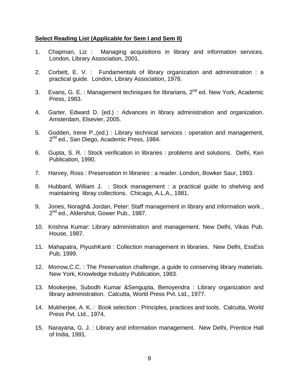- 1. Chapman, Liz : Managing acquisitions in library and information services. London, Library Association, 2001.
- 2. Corbett, E. V. : Fundamentals of library organization and administration : a practical guide. London, Library Association, 1978.
- 3. Evans, G. E. : Management techniques for librarians,  $2^{nd}$  ed. New York, Academic Press, 1983.
- 4. Garter, Edward D. (ed.) : Advances in library administration and organization. Amsterdam, Elsevier, 2005.
- 5. Godden, Irene P.,(ed.) : Library technical services : operation and management, 2<sup>nd</sup> ed., San Diego, Academic Press, 1984.
- 6. Gupta, S. R. : Stock verification in libraries : problems and solutions. Delhi, Ken Publication, 1990.
- 7. Harvey, Ross : Preservation in libraries : a reader. London, Bowker Saur, 1993.
- 8. Hubbard, William J. : Stock management : a practical guide to shelving and maintaining libray collections. Chicago, A.L.A., 1981.
- 9. Jones, Noragh& Jordan, Peter: Staff management in library and information work , 2<sup>nd</sup> ed., Aldershot, Gower Pub., 1987.
- 10. Krishna Kumar: Library administration and management. New Delhi, Vikas Pub. House, 1987.
- 11. Mahapatra, PiyushKanti : Collection management in libraries. New Delhi, EssEss Pub, 1999.
- 12. Morrow,C.C. : The Preservation challenge, a guide to conserving library materials. New York, Knowledge Industry Publication, 1983.
- 13. Mookerjee, Subodh Kumar &Sengupta, Benoyendra : Library organization and library administration. Calcutta, World Press Pvt. Ltd., 1977.
- 14. Mukherjee, A. K. : Book selection : Principles, practices and tools. Calcutta, World Press Pvt. Ltd., 1974.
- 15. Narayana, G. J. : Library and information management. New Delhi, Prentice Hall of India, 1991.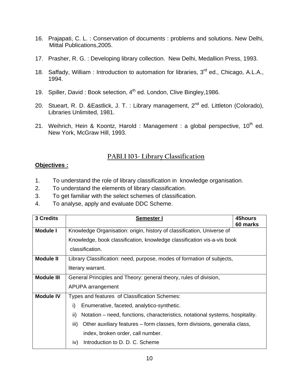- 16. Prajapati, C. L. : Conservation of documents : problems and solutions. New Delhi, Mittal Publications,2005.
- 17. Prasher, R. G. : Developing library collection. New Delhi, Medallion Press, 1993.
- 18. Saffady, William : Introduction to automation for libraries, 3<sup>rd</sup> ed., Chicago, A.L.A., 1994.
- 19. Spiller, David : Book selection, 4<sup>th</sup> ed. London, Clive Bingley, 1986.
- 20. Stueart, R. D. & Eastlick, J. T. : Library management, 2<sup>nd</sup> ed. Littleton (Colorado), Libraries Unlimited, 1981.
- 21. Weihrich, Hein & Koontz, Harold : Management : a global perspective,  $10^{th}$  ed. New York, McGraw Hill, 1993.

## **PABLI 103- Library Classification**

- 1. To understand the role of library classification in knowledge organisation.
- 2. To understand the elements of library classification.
- 3. To get familiar with the select schemes of classification.
- 4. To analyse, apply and evaluate DDC Scheme.

| 3 Credits         | Semester I                                                                           | 45hours<br>60 marks |  |
|-------------------|--------------------------------------------------------------------------------------|---------------------|--|
| <b>Module I</b>   | Knowledge Organisation: origin, history of classification, Universe of               |                     |  |
|                   | Knowledge, book classification, knowledge classification vis-a-vis book              |                     |  |
|                   | classification.                                                                      |                     |  |
| Module II         | Library Classification: need, purpose, modes of formation of subjects,               |                     |  |
|                   | literary warrant.                                                                    |                     |  |
| <b>Module III</b> | General Principles and Theory: general theory, rules of division,                    |                     |  |
|                   | APUPA arrangement                                                                    |                     |  |
| <b>Module IV</b>  | Types and features of Classification Schemes:                                        |                     |  |
|                   | i)<br>Enumerative, faceted, analytico-synthetic.                                     |                     |  |
|                   | ii)<br>Notation – need, functions, characteristics, notational systems, hospitality. |                     |  |
|                   | iii)<br>Other auxiliary features – form classes, form divisions, generalia class,    |                     |  |
|                   | index, broken order, call number.                                                    |                     |  |
|                   | Introduction to D. D. C. Scheme<br>iv)                                               |                     |  |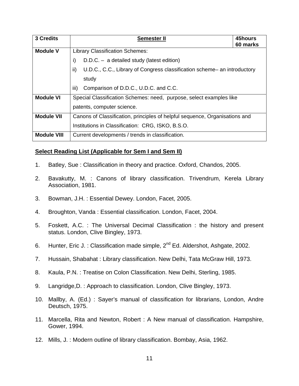| 3 Credits          | <b>Semester II</b>                                                              | 45hours<br>60 marks |
|--------------------|---------------------------------------------------------------------------------|---------------------|
| <b>Module V</b>    | <b>Library Classification Schemes:</b>                                          |                     |
|                    | i)<br>$D.D.C. - a detailed study (latest edition)$                              |                     |
|                    | ii)<br>U.D.C., C.C., Library of Congress classification scheme– an introductory |                     |
|                    | study                                                                           |                     |
|                    | iii)<br>Comparison of D.D.C., U.D.C. and C.C.                                   |                     |
| <b>Module VI</b>   | Special Classification Schemes: need, purpose, select examples like             |                     |
|                    | patents, computer science.                                                      |                     |
| <b>Module VII</b>  | Canons of Classification, principles of helpful sequence, Organisations and     |                     |
|                    | Institutions in Classification: CRG, ISKO, B.S.O.                               |                     |
| <b>Module VIII</b> | Current developments / trends in classification.                                |                     |

- 1. Batley, Sue : Classification in theory and practice. Oxford, Chandos, 2005.
- 2. Bavakutty, M. : Canons of library classification. Trivendrum, Kerela Library Association, 1981.
- 3. Bowman, J.H. : Essential Dewey. London, Facet, 2005.
- 4. Broughton, Vanda : Essential classification. London, Facet, 2004.
- 5. Foskett, A.C. : The Universal Decimal Classification : the history and present status. London, Clive Bingley, 1973.
- 6. Hunter, Eric J. : Classification made simple, 2<sup>nd</sup> Ed. Aldershot, Ashgate, 2002.
- 7. Hussain, Shabahat : Library classification. New Delhi, Tata McGraw Hill, 1973.
- 8. Kaula, P.N. : Treatise on Colon Classification. New Delhi, Sterling, 1985.
- 9. Langridge,D. : Approach to classification. London, Clive Bingley, 1973.
- 10. Mallby, A. (Ed.) : Sayer's manual of classification for librarians, London, Andre Deutsch, 1975.
- 11. Marcella, Rita and Newton, Robert : A New manual of classification. Hampshire, Gower, 1994.
- 12. Mills, J. : Modern outline of library classification. Bombay, Asia, 1962.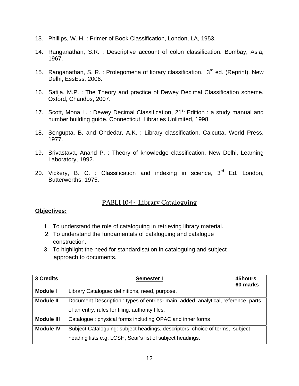- 13. Phillips, W. H. : Primer of Book Classification, London, LA, 1953.
- 14. Ranganathan, S.R. : Descriptive account of colon classification. Bombay, Asia, 1967.
- 15. Ranganathan, S. R. : Prolegomena of library classification. 3<sup>rd</sup> ed. (Reprint). New Delhi, EssEss, 2006.
- 16. Satija, M.P. : The Theory and practice of Dewey Decimal Classification scheme. Oxford, Chandos, 2007.
- 17. Scott, Mona L. : Dewey Decimal Classification,  $21^{st}$  Edition : a study manual and number building guide. Connecticut, Libraries Unlimited, 1998.
- 18. Sengupta, B. and Ohdedar, A.K. : Library classification. Calcutta, World Press, 1977.
- 19. Srivastava, Anand P. : Theory of knowledge classification. New Delhi, Learning Laboratory, 1992.
- 20. Vickery, B. C. : Classification and indexing in science,  $3<sup>rd</sup>$  Ed. London, Butterworths, 1975.

# **PABLI 104- Library Cataloguing**

- 1. To understand the role of cataloguing in retrieving library material.
- 2. To understand the fundamentals of cataloguing and catalogue construction.
- 3. To highlight the need for standardisation in cataloguing and subject approach to documents.

| 3 Credits         | <b>Semester I</b>                                                                                                                         | 45hours<br>60 marks |
|-------------------|-------------------------------------------------------------------------------------------------------------------------------------------|---------------------|
| <b>Module I</b>   | Library Catalogue: definitions, need, purpose.                                                                                            |                     |
| <b>Module II</b>  | Document Description: types of entries- main, added, analytical, reference, parts<br>of an entry, rules for filing, authority files.      |                     |
| <b>Module III</b> | Catalogue: physical forms including OPAC and inner forms                                                                                  |                     |
| <b>Module IV</b>  | Subject Cataloguing: subject headings, descriptors, choice of terms, subject<br>heading lists e.g. LCSH, Sear's list of subject headings. |                     |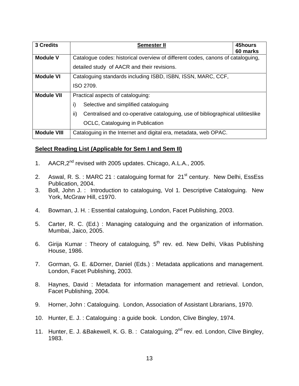| 3 Credits          | 45hours<br><b>Semester II</b><br>60 marks                                             |  |  |
|--------------------|---------------------------------------------------------------------------------------|--|--|
| <b>Module V</b>    | Catalogue codes: historical overview of different codes, canons of cataloguing,       |  |  |
|                    | detailed study of AACR and their revisions.                                           |  |  |
| <b>Module VI</b>   | Cataloguing standards including ISBD, ISBN, ISSN, MARC, CCF,                          |  |  |
|                    | ISO 2709.                                                                             |  |  |
| <b>Module VII</b>  | Practical aspects of cataloguing:                                                     |  |  |
|                    | i)<br>Selective and simplified cataloguing                                            |  |  |
|                    | ii)<br>Centralised and co-operative cataloguing, use of bibliographical utilitieslike |  |  |
|                    | OCLC, Cataloguing in Publication                                                      |  |  |
| <b>Module VIII</b> | Cataloguing in the Internet and digital era, metadata, web OPAC.                      |  |  |

- 1. AACR, 2<sup>nd</sup> revised with 2005 updates. Chicago, A.L.A., 2005.
- 2. Aswal, R. S. : MARC 21 : cataloguing format for  $21<sup>st</sup>$  century. New Delhi, EssEss Publication, 2004.
- 3. Boll, John J. : Introduction to cataloguing, Vol 1. Descriptive Cataloguing. New York, McGraw Hill, c1970.
- 4. Bowman, J. H. : Essential cataloguing, London, Facet Publishing, 2003.
- 5. Carter, R. C. (Ed.) : Managing cataloguing and the organization of information. Mumbai, Jaico, 2005.
- 6. Girija Kumar : Theory of cataloguing,  $5<sup>th</sup>$  rev. ed. New Delhi, Vikas Publishing House, 1986.
- 7. Gorman, G. E. &Dorner, Daniel (Eds.) : Metadata applications and management. London, Facet Publishing, 2003.
- 8. Haynes, David : Metadata for information management and retrieval. London, Facet Publishing, 2004.
- 9. Horner, John : Cataloguing. London, Association of Assistant Librarians, 1970.
- 10. Hunter, E. J. : Cataloguing : a guide book. London, Clive Bingley, 1974.
- 11. Hunter, E. J. &Bakewell, K. G. B.: Cataloguing, 2<sup>nd</sup> rev. ed. London, Clive Bingley, 1983.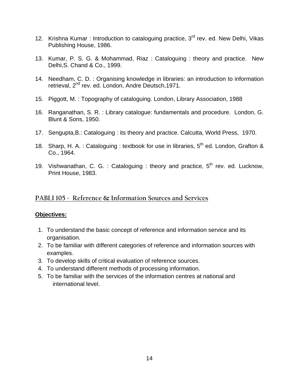- 12. Krishna Kumar : Introduction to cataloguing practice,  $3<sup>rd</sup>$  rev. ed. New Delhi, Vikas Publishing House, 1986.
- 13. Kumar, P. S. G. & Mohammad, Riaz : Cataloguing : theory and practice. New Delhi,S. Chand & Co., 1999.
- 14. Needham, C. D. : Organising knowledge in libraries: an introduction to information retrieval, 2<sup>nd</sup> rev. ed. London, Andre Deutsch, 1971.
- 15. Piggott, M. : Topography of cataloguing. London, Library Association, 1988
- 16. Ranganathan, S. R. : Library catalogue: fundamentals and procedure. London, G. Blunt & Sons, 1950.
- 17. Sengupta,B.: Cataloguing : its theory and practice. Calcutta, World Press, 1970.
- 18. Sharp, H. A. : Cataloguing : textbook for use in libraries,  $5<sup>th</sup>$  ed. London, Grafton & Co., 1964.
- 19. Vishwanathan, C. G. : Cataloguing : theory and practice,  $5<sup>th</sup>$  rev. ed. Lucknow, Print House, 1983.

## **PABLI 105 - Reference & Information Sources and Services**

- 1. To understand the basic concept of reference and information service and its organisation.
- 2. To be familiar with different categories of reference and information sources with examples.
- 3. To develop skills of critical evaluation of reference sources.
- 4. To understand different methods of processing information.
- 5. To be familiar with the services of the information centres at national and international level.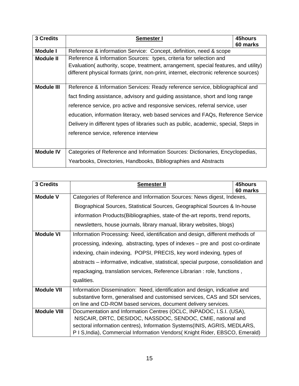| 3 Credits         | <u>Semester I</u>                                                                     | 45hours<br>60 marks |  |
|-------------------|---------------------------------------------------------------------------------------|---------------------|--|
| <b>Module I</b>   | Reference & information Service: Concept, definition, need & scope                    |                     |  |
| <b>Module II</b>  | Reference & Information Sources: types, criteria for selection and                    |                     |  |
|                   | Evaluation (authority, scope, treatment, arrangement, special features, and utility)  |                     |  |
|                   | different physical formats (print, non-print, internet, electronic reference sources) |                     |  |
|                   |                                                                                       |                     |  |
| <b>Module III</b> | Reference & Information Services: Ready reference service, bibliographical and        |                     |  |
|                   | fact finding assistance, advisory and guiding assistance, short and long range        |                     |  |
|                   | reference service, pro active and responsive services, referral service, user         |                     |  |
|                   | education, information literacy, web based services and FAQs, Reference Service       |                     |  |
|                   | Delivery in different types of libraries such as public, academic, special, Steps in  |                     |  |
|                   | reference service, reference interview                                                |                     |  |
|                   |                                                                                       |                     |  |
| <b>Module IV</b>  | Categories of Reference and Information Sources: Dictionaries, Encyclopedias,         |                     |  |
|                   | Yearbooks, Directories, Handbooks, Bibliographies and Abstracts                       |                     |  |

| 3 Credits          | 45hours<br><b>Semester II</b>                                                        |  |  |
|--------------------|--------------------------------------------------------------------------------------|--|--|
| <b>Module V</b>    | 60 marks<br>Categories of Reference and Information Sources: News digest, Indexes,   |  |  |
|                    | Biographical Sources, Statistical Sources, Geographical Sources & In-house           |  |  |
|                    | information Products (Bibliographies, state-of the-art reports, trend reports,       |  |  |
|                    | newsletters, house journals, library manual, library websites, blogs)                |  |  |
| <b>Module VI</b>   | Information Processing: Need, identification and design, different methods of        |  |  |
|                    | processing, indexing, abstracting, types of indexes – pre and post co-ordinate       |  |  |
|                    | indexing, chain indexing, POPSI, PRECIS, key word indexing, types of                 |  |  |
|                    | abstracts - informative, indicative, statistical, special purpose, consolidation and |  |  |
|                    | repackaging, translation services, Reference Librarian : role, functions,            |  |  |
|                    | qualities.                                                                           |  |  |
| <b>Module VII</b>  | Information Dissemination: Need, identification and design, indicative and           |  |  |
|                    | substantive form, generalised and customised services, CAS and SDI services,         |  |  |
|                    | on line and CD-ROM based services, document delivery services.                       |  |  |
| <b>Module VIII</b> | Documentation and Information Centres (OCLC, INPADOC, I.S.I. (USA),                  |  |  |
|                    | NISCAIR, DRTC, DESIDOC, NASSDOC, SENDOC, CMIE, national and                          |  |  |
|                    | sectoral information centres), Information Systems(INIS, AGRIS, MEDLARS,             |  |  |
|                    | P I S, India), Commercial Information Vendors (Knight Rider, EBSCO, Emerald)         |  |  |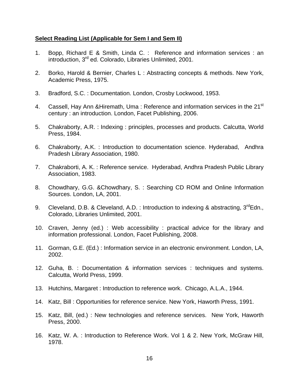- 1. Bopp, Richard E & Smith, Linda C. : Reference and information services : an introduction, 3<sup>rd</sup> ed. Colorado, Libraries Unlimited, 2001.
- 2. Borko, Harold & Bernier, Charles L : Abstracting concepts & methods. New York, Academic Press, 1975.
- 3. Bradford, S.C. : Documentation. London, Crosby Lockwood, 1953.
- 4. Cassell, Hay Ann & Hiremath, Uma: Reference and information services in the 21<sup>st</sup> century : an introduction. London, Facet Publishing, 2006.
- 5. Chakraborty, A.R. : Indexing : principles, processes and products. Calcutta, World Press, 1984.
- 6. Chakraborty, A.K. : Introduction to documentation science. Hyderabad, Andhra Pradesh Library Association, 1980.
- 7. Chakraborti, A. K. : Reference service. Hyderabad, Andhra Pradesh Public Library Association, 1983.
- 8. Chowdhary, G.G. &Chowdhary, S. : Searching CD ROM and Online Information Sources. London, LA, 2001.
- 9. Cleveland, D.B. & Cleveland, A.D. : Introduction to indexing & abstracting,  $3^{rd}$ Edn., Colorado, Libraries Unlimited, 2001.
- 10. Craven, Jenny (ed.) : Web accessibility : practical advice for the library and information professional. London, Facet Publishing, 2008.
- 11. Gorman, G.E. (Ed.) : Information service in an electronic environment. London, LA, 2002.
- 12. Guha, B. : Documentation & information services : techniques and systems. Calcutta, World Press, 1999.
- 13. Hutchins, Margaret : Introduction to reference work. Chicago, A.L.A., 1944.
- 14. Katz, Bill : Opportunities for reference service. New York, Haworth Press, 1991.
- 15. Katz, Bill, (ed.) : New technologies and reference services. New York, Haworth Press, 2000.
- 16. Katz, W. A. : Introduction to Reference Work. Vol 1 & 2. New York, McGraw Hill, 1978.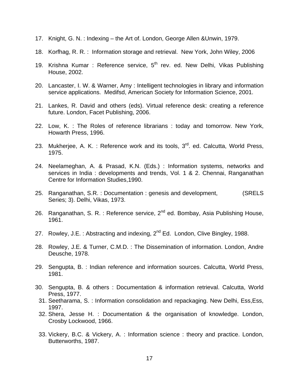- 17. Knight, G. N. : Indexing the Art of. London, George Allen &Unwin, 1979.
- 18. Korfhag, R. R. : Information storage and retrieval. New York, John Wiley, 2006
- 19. Krishna Kumar : Reference service,  $5<sup>th</sup>$  rev. ed. New Delhi, Vikas Publishing House, 2002.
- 20. Lancaster, I. W. & Warner, Amy : Intelligent technologies in library and information service applications. Medifsd, American Society for Information Science, 2001.
- 21. Lankes, R. David and others (eds). Virtual reference desk: creating a reference future. London, Facet Publishing, 2006.
- 22. Low, K. : The Roles of reference librarians : today and tomorrow. New York, Howarth Press, 1996.
- 23. Mukherjee, A. K. : Reference work and its tools,  $3<sup>rd</sup>$ . ed. Calcutta, World Press, 1975.
- 24. Neelameghan, A. & Prasad, K.N. (Eds.) : Information systems, networks and services in India : developments and trends, Vol. 1 & 2. Chennai, Ranganathan Centre for Information Studies,1990.
- 25. Ranganathan, S.R. : Documentation : genesis and development, (SRELS Series; 3). Delhi, Vikas, 1973.
- 26. Ranganathan, S. R. : Reference service,  $2^{nd}$  ed. Bombay, Asia Publishing House, 1961.
- 27. Rowley, J.E.: Abstracting and indexing,  $2^{nd}$  Ed. London, Clive Bingley, 1988.
- 28. Rowley, J.E. & Turner, C.M.D. : The Dissemination of information. London, Andre Deusche, 1978.
- 29. Sengupta, B. : Indian reference and information sources. Calcutta, World Press, 1981.
- 30. Sengupta, B. & others : Documentation & information retrieval. Calcutta, World Press, 1977.
- 31. Seetharama, S. : Information consolidation and repackaging. New Delhi, Ess,Ess, 1997.
- 32. Shera, Jesse H. : Documentation & the organisation of knowledge. London, Crosby Lockwood, 1966.
- 33. Vickery, B.C. & Vickery, A. : Information science : theory and practice. London, Butterworths, 1987.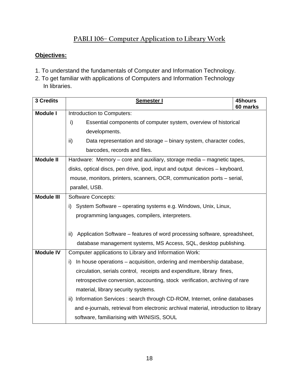# **PABLI 106– Computer Application to Library Work**

- 1. To understand the fundamentals of Computer and Information Technology.
- 2. To get familiar with applications of Computers and Information Technology In libraries.

| <b>3 Credits</b>  | Semester I                                                                           | 45hours<br>60 marks |  |
|-------------------|--------------------------------------------------------------------------------------|---------------------|--|
| <b>Module I</b>   | Introduction to Computers:                                                           |                     |  |
|                   | i)<br>Essential components of computer system, overview of historical                |                     |  |
|                   | developments.                                                                        |                     |  |
|                   | ii)<br>Data representation and storage – binary system, character codes,             |                     |  |
|                   | barcodes, records and files.                                                         |                     |  |
| <b>Module II</b>  | Hardware: Memory – core and auxiliary, storage media – magnetic tapes,               |                     |  |
|                   | disks, optical discs, pen drive, ipod, input and output devices - keyboard,          |                     |  |
|                   | mouse, monitors, printers, scanners, OCR, communication ports - serial,              |                     |  |
|                   | parallel, USB.                                                                       |                     |  |
| <b>Module III</b> | <b>Software Concepts:</b>                                                            |                     |  |
|                   | System Software – operating systems e.g. Windows, Unix, Linux,<br>i)                 |                     |  |
|                   | programming languages, compilers, interpreters.                                      |                     |  |
|                   |                                                                                      |                     |  |
|                   | Application Software – features of word processing software, spreadsheet,<br>ii)     |                     |  |
|                   | database management systems, MS Access, SQL, desktop publishing.                     |                     |  |
| <b>Module IV</b>  | Computer applications to Library and Information Work:                               |                     |  |
|                   | In house operations – acquisition, ordering and membership database,<br>i)           |                     |  |
|                   | circulation, serials control, receipts and expenditure, library fines,               |                     |  |
|                   | retrospective conversion, accounting, stock verification, archiving of rare          |                     |  |
|                   | material, library security systems.                                                  |                     |  |
|                   | ii) Information Services : search through CD-ROM, Internet, online databases         |                     |  |
|                   | and e-journals, retrieval from electronic archival material, introduction to library |                     |  |
|                   | software, familiarising with WINISIS, SOUL                                           |                     |  |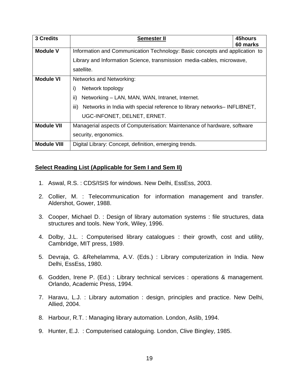| 3 Credits          | <b>Semester II</b>                                                               | 45hours<br>60 marks |  |
|--------------------|----------------------------------------------------------------------------------|---------------------|--|
| <b>Module V</b>    | Information and Communication Technology: Basic concepts and application to      |                     |  |
|                    | Library and Information Science, transmission media-cables, microwave,           |                     |  |
|                    | satellite.                                                                       |                     |  |
| <b>Module VI</b>   | Networks and Networking:                                                         |                     |  |
|                    | i)<br>Network topology                                                           |                     |  |
|                    | ii)<br>Networking – LAN, MAN, WAN, Intranet, Internet.                           |                     |  |
|                    | iii)<br>Networks in India with special reference to library networks– INFLIBNET, |                     |  |
|                    | UGC-INFONET, DELNET, ERNET.                                                      |                     |  |
| <b>Module VII</b>  | Managerial aspects of Computerisation: Maintenance of hardware, software         |                     |  |
|                    | security, ergonomics.                                                            |                     |  |
| <b>Module VIII</b> | Digital Library: Concept, definition, emerging trends.                           |                     |  |

- 1. Aswal, R.S. : CDS/ISIS for windows. New Delhi, EssEss, 2003.
- 2. Collier, M. : Telecommunication for information management and transfer. Aldershot, Gower, 1988.
- 3. Cooper, Michael D. : Design of library automation systems : file structures, data structures and tools. New York, Wiley, 1996.
- 4. Dolby, J.L. : Computerised library catalogues : their growth, cost and utility, Cambridge, MIT press, 1989.
- 5. Devraja, G. &Rehelamma, A.V. (Eds.) : Library computerization in India. New Delhi, EssEss, 1980.
- 6. Godden, Irene P. (Ed.) : Library technical services : operations & management. Orlando, Academic Press, 1994.
- 7. Haravu, L.J. : Library automation : design, principles and practice. New Delhi, Allied, 2004.
- 8. Harbour, R.T. : Managing library automation. London, Aslib, 1994.
- 9. Hunter, E.J. : Computerised cataloguing. London, Clive Bingley, 1985.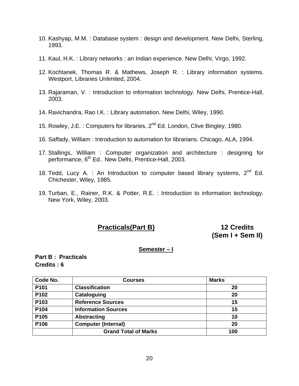- 10. Kashyap, M.M. : Database system : design and development. New Delhi, Sterling, 1993.
- 11. Kaul, H.K. : Library networks : an Indian experience. New Delhi, Virgo, 1992.
- 12. Kochtanek, Thomas R. & Mathews, Joseph R. : Library information systems. Westport, Libraries Unlimited, 2004.
- 13. Rajaraman, V. : Introduction to information technology. New Delhi, Prentice-Hall, 2003.
- 14. Ravichandra, Rao I.K. : Library automation. New Delhi, Wiley, 1990.
- 15. Rowley, J.E.: Computers for libraries, 2<sup>nd</sup> Ed. London, Clive Bingley, 1980.
- 16. Saffady, William : Introduction to automation for librarians. Chicago, ALA, 1994.
- 17. Stallings, William : Computer organization and architecture : designing for performance, 6<sup>th</sup> Ed.. New Delhi, Prentice-Hall, 2003.
- 18. Tedd, Lucy A. : An Introduction to computer based library systems,  $2^{nd}$  Ed. Chichester, Wiley, 1985.
- 19. Turban, E., Rainer, R.K. & Potter, R.E. : Introduction to information technology. New York, Wiley, 2003.

# **Practicals(Part B) 12 Credits**

# **(Sem I + Sem II)**

#### **Semester – I**

#### **Part B : Practicals Credits : 6**

| Code No.         | <b>Courses</b>              | <b>Marks</b> |
|------------------|-----------------------------|--------------|
| P <sub>101</sub> | <b>Classification</b>       | 20           |
| P102             | Cataloguing                 | 20           |
| P103             | <b>Reference Sources</b>    | 15           |
| P104             | <b>Information Sources</b>  | 15           |
| P105             | <b>Abstracting</b>          | 10           |
| P106             | <b>Computer (Internal)</b>  | 20           |
|                  | <b>Grand Total of Marks</b> | 100          |